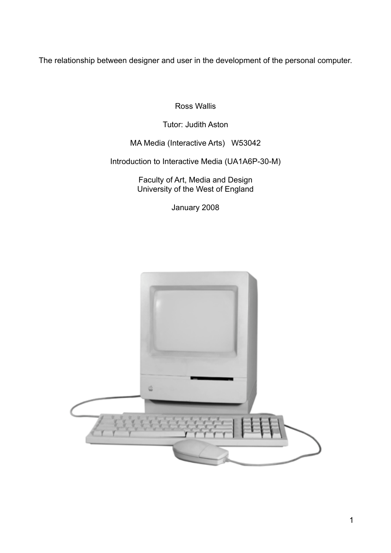The relationship between designer and user in the development of the personal computer.

Ross Wallis

Tutor: Judith Aston

MA Media (Interactive Arts) W53042

Introduction to Interactive Media (UA1A6P-30-M)

Faculty of Art, Media and Design University of the West of England

January 2008

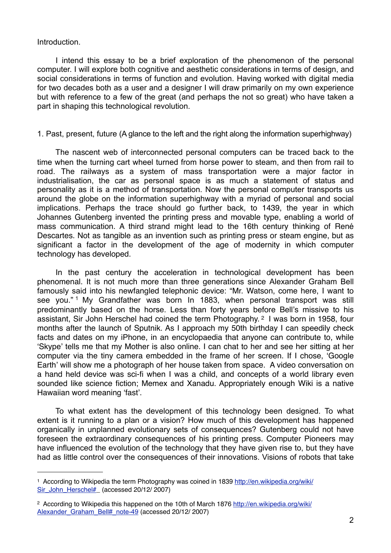Introduction.

 I intend this essay to be a brief exploration of the phenomenon of the personal computer. I will explore both cognitive and aesthetic considerations in terms of design, and social considerations in terms of function and evolution. Having worked with digital media for two decades both as a user and a designer I will draw primarily on my own experience but with reference to a few of the great (and perhaps the not so great) who have taken a part in shaping this technological revolution.

# 1. Past, present, future (A glance to the left and the right along the information superhighway)

 The nascent web of interconnected personal computers can be traced back to the time when the turning cart wheel turned from horse power to steam, and then from rail to road. The railways as a system of mass transportation were a major factor in industrialisation, the car as personal space is as much a statement of status and personality as it is a method of transportation. Now the personal computer transports us around the globe on the information superhighway with a myriad of personal and social implications. Perhaps the trace should go further back, to 1439, the year in which Johannes Gutenberg invented the printing press and movable type, enabling a world of mass communication. A third strand might lead to the 16th century thinking of René Descartes. Not as tangible as an invention such as printing press or steam engine, but as significant a factor in the development of the age of modernity in which computer technology has developed.

In the past century the acceleration in technological development has been phenomenal. It is not much more than three generations since Alexander Graham Bell famously said into his newfangled telephonic device: "Mr. Watson, come here, I want to see you."<sup>[1](#page-1-0)</sup> My Grandfather was born In 1883, when personal transport was still predominantly based on the horse. Less than forty years before Bell's missive to his assistant, Sir John Herschel had coined the term Photography. [2](#page-1-1) I was born in 1958, four months after the launch of Sputnik. As I approach my 50th birthday I can speedily check facts and dates on my iPhone, in an encyclopaedia that anyone can contribute to, while ʻSkype' tells me that my Mother is also online. I can chat to her and see her sitting at her computer via the tiny camera embedded in the frame of her screen. If I chose, ʻGoogle Earth' will show me a photograph of her house taken from space. A video conversation on a hand held device was sci-fi when I was a child, and concepts of a world library even sounded like science fiction; Memex and Xanadu. Appropriately enough Wiki is a native Hawaiian word meaning ʻfast'.

 To what extent has the development of this technology been designed. To what extent is it running to a plan or a vision? How much of this development has happened organically in unplanned evolutionary sets of consequences? Gutenberg could not have foreseen the extraordinary consequences of his printing press. Computer Pioneers may have influenced the evolution of the technology that they have given rise to, but they have had as little control over the consequences of their innovations. Visions of robots that take

<span id="page-1-0"></span><sup>&</sup>lt;sup>1</sup> According to Wikipedia the term Photography was coined in 1839 [http://en.wikipedia.org/wiki/](http://en.wikipedia.org/wiki/Sir_John_Herschel#) [Sir\\_John\\_Herschel#\\_](http://en.wikipedia.org/wiki/Sir_John_Herschel#) (accessed 20/12/ 2007)

<span id="page-1-1"></span><sup>2</sup> According to Wikipedia this happened on the 10th of March 1876 [http://en.wikipedia.org/wiki/](http://en.wikipedia.org/wiki/Alexander_Graham_Bell#_note-49) Alexander Graham\_Bell#\_note-49 (accessed 20/12/ 2007)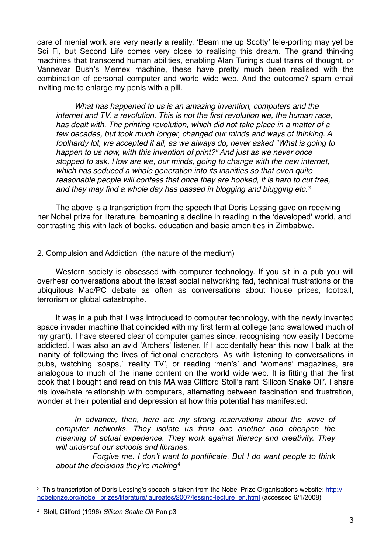care of menial work are very nearly a reality. 'Beam me up Scotty' tele-porting may yet be Sci Fi, but Second Life comes very close to realising this dream. The grand thinking machines that transcend human abilities, enabling Alan Turing's dual trains of thought, or Vannevar Bush's Memex machine, these have pretty much been realised with the combination of personal computer and world wide web. And the outcome? spam email inviting me to enlarge my penis with a pill.

*What has happened to us is an amazing invention, computers and the internet and TV, a revolution. This is not the first revolution we, the human race, has dealt with. The printing revolution, which did not take place in a matter of a few decades, but took much longer, changed our minds and ways of thinking. A foolhardy lot, we accepted it all, as we always do, never asked "What is going to happen to us now, with this invention of print?" And just as we never once stopped to ask, How are we, our minds, going to change with the new internet, which has seduced a whole generation into its inanities so that even quite reasonable people will confess that once they are hooked, it is hard to cut free, and they may find a whole day has passed in blogging and blugging etc.[3](#page-2-0)*

The above is a transcription from the speech that Doris Lessing gave on receiving her Nobel prize for literature, bemoaning a decline in reading in the ʻdeveloped' world, and contrasting this with lack of books, education and basic amenities in Zimbabwe.

#### 2. Compulsion and Addiction (the nature of the medium)

Western society is obsessed with computer technology. If you sit in a pub you will overhear conversations about the latest social networking fad, technical frustrations or the ubiquitous Mac/PC debate as often as conversations about house prices, football, terrorism or global catastrophe.

It was in a pub that I was introduced to computer technology, with the newly invented space invader machine that coincided with my first term at college (and swallowed much of my grant). I have steered clear of computer games since, recognising how easily I become addicted. I was also an avid ʻArchers' listener. If I accidentally hear this now I balk at the inanity of following the lives of fictional characters. As with listening to conversations in pubs, watching ʻsoaps,' ʻreality TV', or reading ʻmen's' and ʻwomens' magazines, are analogous to much of the inane content on the world wide web. It is fitting that the first book that I bought and read on this MA was Clifford Stoll's rant ʻSilicon Snake Oil'. I share his love/hate relationship with computers, alternating between fascination and frustration, wonder at their potential and depression at how this potential has manifested:

*In advance, then, here are my strong reservations about the wave of computer networks. They isolate us from one another and cheapen the meaning of actual experience. They work against literacy and creativity. They will undercut our schools and libraries.*

 *Forgive me. I don't want to pontificate. But I do want people to think about the decisions they're making[4](#page-2-1)*

<span id="page-2-0"></span><sup>&</sup>lt;sup>3</sup> This transcription of Doris Lessing's speach is taken from the Nobel Prize Organisations website: [http://](http://nobelprize.org/nobel_prizes/literature/laureates/2007/lessing-lecture_en.html) [nobelprize.org/nobel\\_prizes/literature/laureates/2007/lessing-lecture\\_en.html](http://nobelprize.org/nobel_prizes/literature/laureates/2007/lessing-lecture_en.html) (accessed 6/1/2008)

<span id="page-2-1"></span><sup>4</sup> Stoll, Clifford (1996) *Silicon Snake Oil* Pan p3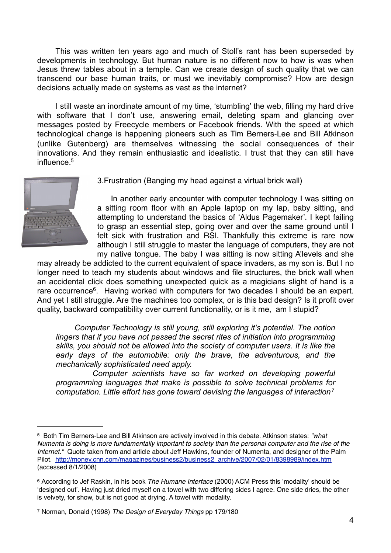This was written ten years ago and much of Stoll's rant has been superseded by developments in technology. But human nature is no different now to how is was when Jesus threw tables about in a temple. Can we create design of such quality that we can transcend our base human traits, or must we inevitably compromise? How are design decisions actually made on systems as vast as the internet?

 I still waste an inordinate amount of my time, 'stumbling' the web, filling my hard drive with software that I don't use, answering email, deleting spam and glancing over messages posted by Freecycle members or Facebook friends. With the speed at which technological change is happening pioneers such as Tim Berners-Lee and Bill Atkinson (unlike Gutenberg) are themselves witnessing the social consequences of their innovations. And they remain enthusiastic and idealistic. I trust that they can still have influence[.5](#page-3-0)



3.Frustration (Banging my head against a virtual brick wall)

In another early encounter with computer technology I was sitting on a sitting room floor with an Apple laptop on my lap, baby sitting, and attempting to understand the basics of ʻAldus Pagemaker'. I kept failing to grasp an essential step, going over and over the same ground until I felt sick with frustration and RSI. Thankfully this extreme is rare now although I still struggle to master the language of computers, they are not my native tongue. The baby I was sitting is now sitting A'levels and she

may already be addicted to the current equivalent of space invaders, as my son is. But I no longer need to teach my students about windows and file structures, the brick wall when an accidental click does something unexpected quick as a magicians slight of hand is a rare occurrence<sup>[6](#page-3-1)</sup>. Having worked with computers for two decades I should be an expert. And yet I still struggle. Are the machines too complex, or is this bad design? Is it profit over quality, backward compatibility over current functionality, or is it me, am I stupid?

*Computer Technology is still young, still exploring it's potential. The notion lingers that if you have not passed the secret rites of initiation into programming skills, you should not be allowed into the society of computer users. It is like the early days of the automobile: only the brave, the adventurous, and the mechanically sophisticated need apply.*

 *Computer scientists have so far worked on developing powerful programming languages that make is possible to solve technical problems for computation. Little effort has gone toward devising the languages of interaction[7](#page-3-2)*

<span id="page-3-0"></span><sup>5</sup> Both Tim Berners-Lee and Bill Atkinson are actively involved in this debate. Atkinson states: *"what Numenta is doing is more fundamentally important to society than the personal computer and the rise of the Internet."* Quote taken from and article about Jeff Hawkins, founder of Numenta, and designer of the Palm Pilot. [http://money.cnn.com/magazines/business2/business2\\_archive/2007/02/01/8398989/index.htm](http://money.cnn.com/magazines/business2/business2_archive/2007/02/01/8398989/index.htm) (accessed 8/1/2008)

<span id="page-3-1"></span><sup>6</sup> According to Jef Raskin, in his book *The Humane Interface* (2000) ACM Press this 'modality' should be 'designed out'. Having just dried myself on a towel with two differing sides I agree. One side dries, the other is velvety, for show, but is not good at drying. A towel with modality.

<span id="page-3-2"></span><sup>7</sup> Norman, Donald (1998) *The Design of Everyday Things* pp 179/180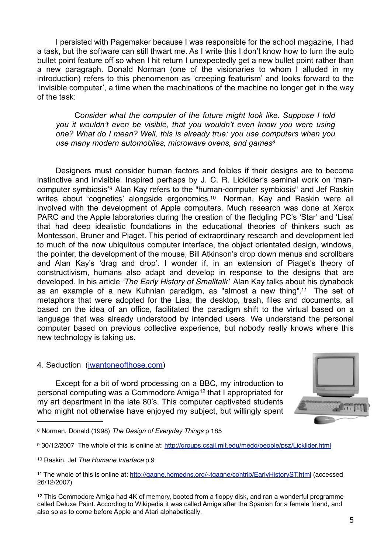I persisted with Pagemaker because I was responsible for the school magazine, I had a task, but the software can still thwart me. As I write this I don't know how to turn the auto bullet point feature off so when I hit return I unexpectedly get a new bullet point rather than a new paragraph. Donald Norman (one of the visionaries to whom I alluded in my introduction) refers to this phenomenon as 'creeping featurism' and looks forward to the 'invisible computer', a time when the machinations of the machine no longer get in the way of the task:

C*onsider what the computer of the future might look like. Suppose I told you it wouldn't even be visible, that you wouldn't even know you were using one? What do I mean? Well, this is already true: you use computers when you use many modern automobiles, microwave ovens, and game[s8](#page-4-0)*

 Designers must consider human factors and foibles if their designs are to become instinctive and invisible. Inspired perhaps by J. C. R. Licklider's seminal work on ʻmancomputer symbiosis'[9](#page-4-1) Alan Kay refers to the "human-computer symbiosis" and Jef Raskin writes about 'cognetics' alongside ergonomics.<sup>10</sup> Norman, Kay and Raskin were all involved with the development of Apple computers. Much research was done at Xerox PARC and the Apple laboratories during the creation of the fledgling PC's 'Star' and 'Lisa' that had deep idealistic foundations in the educational theories of thinkers such as Montessori, Bruner and Piaget. This period of extraordinary research and development led to much of the now ubiquitous computer interface, the object orientated design, windows, the pointer, the development of the mouse, Bill Atkinson's drop down menus and scrollbars and Alan Kay's 'drag and drop'. I wonder if, in an extension of Piaget's theory of constructivism, humans also adapt and develop in response to the designs that are developed. In his article ʻ*The Early History of Smalltalk*' Alan Kay talks about his dynabook as an example of a new Kuhnian paradigm, as "almost a new thing"[.11](#page-4-3) The set of metaphors that were adopted for the Lisa; the desktop, trash, files and documents, all based on the idea of an office, facilitated the paradigm shift to the virtual based on a language that was already understood by intended users. We understand the personal computer based on previous collective experience, but nobody really knows where this new technology is taking us.

### 4. Seduction [\(iwantoneofthose.com](http://www.iwantoneofthose.com/))

 Except for a bit of word processing on a BBC, my introduction to personal computing was a Commodore Amiga<sup>12</sup> that I appropriated for my art department in the late 80's. This computer captivated students who might not otherwise have enjoyed my subject, but willingly spent



<span id="page-4-0"></span><sup>8</sup> Norman, Donald (1998) *The Design of Everyday Things* p 185

<span id="page-4-1"></span><sup>9 30/12/2007</sup> The whole of this is online at:<http://groups.csail.mit.edu/medg/people/psz/Licklider.html>

<span id="page-4-2"></span><sup>10</sup> Raskin, Jef *The Humane Interface* p 9

<span id="page-4-3"></span><sup>11</sup> The whole of this is online at: <http://gagne.homedns.org/~tgagne/contrib/EarlyHistoryST.html>(accessed 26/12/2007)

<span id="page-4-4"></span><sup>&</sup>lt;sup>12</sup> This Commodore Amiga had 4K of memory, booted from a floppy disk, and ran a wonderful programme called Deluxe Paint. According to Wikipedia it was called Amiga after the Spanish for a female friend, and also so as to come before Apple and Atari alphabetically.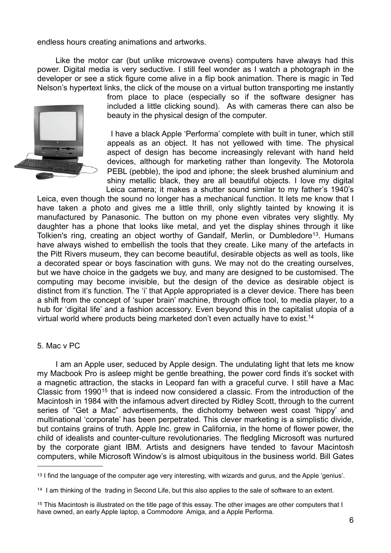endless hours creating animations and artworks.

 Like the motor car (but unlike microwave ovens) computers have always had this power. Digital media is very seductive. I still feel wonder as I watch a photograph in the developer or see a stick figure come alive in a flip book animation. There is magic in Ted Nelson's hypertext links, the click of the mouse on a virtual button transporting me instantly



from place to place (especially so if the software designer has included a little clicking sound). As with cameras there can also be beauty in the physical design of the computer.

 I have a black Apple 'Performa' complete with built in tuner, which still appeals as an object. It has not yellowed with time. The physical aspect of design has become increasingly relevant with hand held devices, although for marketing rather than longevity. The Motorola PEBL (pebble), the ipod and iphone; the sleek brushed aluminium and shiny metallic black, they are all beautiful objects. I love my digital Leica camera; it makes a shutter sound similar to my father's 1940's

Leica, even though the sound no longer has a mechanical function. It lets me know that I have taken a photo and gives me a little thrill, only slightly tainted by knowing it is manufactured by Panasonic. The button on my phone even vibrates very slightly. My daughter has a phone that looks like metal, and yet the display shines through it like Tolkien's ring, creating an object worthy of Gandalf, Merlin, or Dumbledore<sup>[13](#page-5-0)</sup>. Humans have always wished to embellish the tools that they create. Like many of the artefacts in the Pitt Rivers museum, they can become beautiful, desirable objects as well as tools, like a decorated spear or boys fascination with guns. We may not do the creating ourselves, but we have choice in the gadgets we buy, and many are designed to be customised. The computing may become invisible, but the design of the device as desirable object is distinct from it's function. The 'i' that Apple appropriated is a clever device. There has been a shift from the concept of 'super brain' machine, through office tool, to media player, to a hub for 'digital life' and a fashion accessory. Even beyond this in the capitalist utopia of a virtual world where products being marketed don't even actually have to exist.[14](#page-5-1)

#### 5. Mac v PC

 I am an Apple user, seduced by Apple design. The undulating light that lets me know my Macbook Pro is asleep might be gentle breathing, the power cord finds it's socket with a magnetic attraction, the stacks in Leopard fan with a graceful curve. I still have a Mac Classic from 1990[15](#page-5-2) that is indeed now considered a classic. From the introduction of the Macintosh in 1984 with the infamous advert directed by Ridley Scott, through to the current series of "Get a Mac" advertisements, the dichotomy between west coast 'hippy' and multinational 'corporate' has been perpetrated. This clever marketing is a simplistic divide, but contains grains of truth. Apple Inc. grew in California, in the home of flower power, the child of idealists and counter-culture revolutionaries. The fledgling Microsoft was nurtured by the corporate giant IBM. Artists and designers have tended to favour Macintosh computers, while Microsoft Window's is almost ubiquitous in the business world. Bill Gates

<span id="page-5-0"></span><sup>13</sup> I find the language of the computer age very interesting, with wizards and gurus, and the Apple 'genius'.

<span id="page-5-1"></span><sup>14</sup> I am thinking of the trading in Second Life, but this also applies to the sale of software to an extent.

<span id="page-5-2"></span><sup>15</sup> This Macintosh is illustrated on the title page of this essay. The other images are other computers that I have owned, an early Apple laptop, a Commodore Amiga, and a Apple Performa.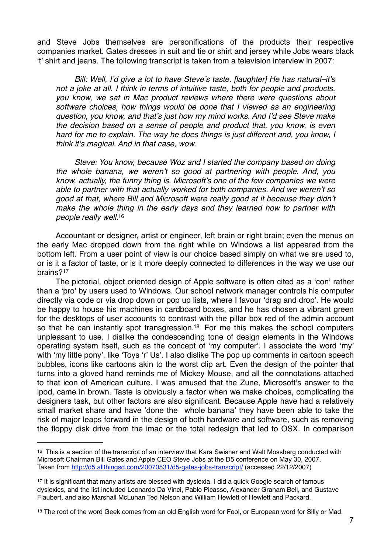and Steve Jobs themselves are personifications of the products their respective companies market. Gates dresses in suit and tie or shirt and jersey while Jobs wears black ʻt' shirt and jeans. The following transcript is taken from a television interview in 2007:

*Bill: Well, I*'*d give a lot to have Steve*'*s taste. [laughter] He has natural–it*'*s not a joke at all. I think in terms of intuitive taste, both for people and products, you know, we sat in Mac product reviews where there were questions about software choices, how things would be done that I viewed as an engineering question, you know, and that*'*s just how my mind works. And I*'*d see Steve make the decision based on a sense of people and product that, you know, is even hard for me to explain. The way he does things is just different and, you know, I think it*'*s magical. And in that case, wow.*

*Steve: You know, because Woz and I started the company based on doing the whole banana, we weren*'*t so good at partnering with people. And, you know, actually, the funny thing is, Microsoft*'*s one of the few companies we were able to partner with that actually worked for both companies. And we weren*'*t so good at that, where Bill and Microsoft were really good at it because they didn*'*t make the whole thing in the early days and they learned how to partner with people really well.*[16](#page-6-0)

Accountant or designer, artist or engineer, left brain or right brain; even the menus on the early Mac dropped down from the right while on Windows a list appeared from the bottom left. From a user point of view is our choice based simply on what we are used to, or is it a factor of taste, or is it more deeply connected to differences in the way we use our brains?[17](#page-6-1)

The pictorial, object oriented design of Apple software is often cited as a ʻcon' rather than a ʻpro' by users used to Windows. Our school network manager controls his computer directly via code or via drop down or pop up lists, where I favour ʻdrag and drop'. He would be happy to house his machines in cardboard boxes, and he has chosen a vibrant green for the desktops of user accounts to contrast with the pillar box red of the admin account so that he can instantly spot transgression.<sup>18</sup> For me this makes the school computers unpleasant to use. I dislike the condescending tone of design elements in the Windows operating system itself, such as the concept of ʻmy computer'. I associate the word ʻmy' with 'my little pony', like 'Toys 'r' Us'. I also dislike The pop up comments in cartoon speech bubbles, icons like cartoons akin to the worst clip art. Even the design of the pointer that turns into a gloved hand reminds me of Mickey Mouse, and all the connotations attached to that icon of American culture. I was amused that the Zune, Microsoft's answer to the ipod, came in brown. Taste is obviously a factor when we make choices, complicating the designers task, but other factors are also significant. Because Apple have had a relatively small market share and have ʻdone the whole banana' they have been able to take the risk of major leaps forward in the design of both hardware and software, such as removing the floppy disk drive from the imac or the total redesign that led to OSX. In comparison

<span id="page-6-0"></span><sup>&</sup>lt;sup>16</sup> This is a section of the transcript of an interview that Kara Swisher and Walt Mossberg conducted with Microsoft Chairman Bill Gates and Apple CEO Steve Jobs at the D5 conference on May 30, 2007. Taken from <http://d5.allthingsd.com/20070531/d5-gates-jobs-transcript/>(accessed 22/12/2007)

<span id="page-6-1"></span><sup>17</sup> It is significant that many artists are blessed with dyslexia. I did a quick Google search of famous dyslexics, and the list included Leonardo Da Vinci, Pablo Picasso, Alexander Graham Bell, and Gustave Flaubert, and also Marshall McLuhan Ted Nelson and William Hewlett of Hewlett and Packard.

<span id="page-6-2"></span><sup>18</sup> The root of the word Geek comes from an old English word for Fool, or European word for Silly or Mad.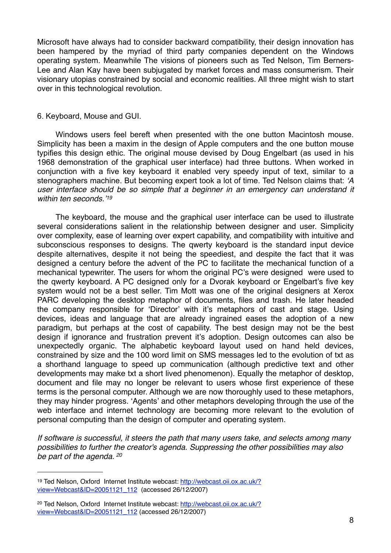Microsoft have always had to consider backward compatibility, their design innovation has been hampered by the myriad of third party companies dependent on the Windows operating system. Meanwhile The visions of pioneers such as Ted Nelson, Tim Berners-Lee and Alan Kay have been subjugated by market forces and mass consumerism. Their visionary utopias constrained by social and economic realities. All three might wish to start over in this technological revolution.

#### 6. Keyboard, Mouse and GUI.

 Windows users feel bereft when presented with the one button Macintosh mouse. Simplicity has been a maxim in the design of Apple computers and the one button mouse typifies this design ethic. The original mouse devised by Doug Engelbart (as used in his 1968 demonstration of the graphical user interface) had three buttons. When worked in conjunction with a five key keyboard it enabled very speedy input of text, similar to a stenographers machine. But becoming expert took a lot of time. Ted Nelson claims that: ʻ*A user interface should be so simple that a beginner in an emergency can understand it within ten seconds.*' *[19](#page-7-0)* 

The keyboard, the mouse and the graphical user interface can be used to illustrate several considerations salient in the relationship between designer and user. Simplicity over complexity, ease of learning over expert capability, and compatibility with intuitive and subconscious responses to designs. The qwerty keyboard is the standard input device despite alternatives, despite it not being the speediest, and despite the fact that it was designed a century before the advent of the PC to facilitate the mechanical function of a mechanical typewriter. The users for whom the original PC's were designed were used to the qwerty keyboard. A PC designed only for a Dvorak keyboard or Engelbart's five key system would not be a best seller. Tim Mott was one of the original designers at Xerox PARC developing the desktop metaphor of documents, files and trash. He later headed the company responsible for ʻDirector' with it's metaphors of cast and stage. Using devices, ideas and language that are already ingrained eases the adoption of a new paradigm, but perhaps at the cost of capability. The best design may not be the best design if ignorance and frustration prevent it's adoption. Design outcomes can also be unexpectedly organic. The alphabetic keyboard layout used on hand held devices, constrained by size and the 100 word limit on SMS messages led to the evolution of txt as a shorthand language to speed up communication (although predictive text and other developments may make txt a short lived phenomenon). Equally the metaphor of desktop, document and file may no longer be relevant to users whose first experience of these terms is the personal computer. Although we are now thoroughly used to these metaphors, they may hinder progress. ʻAgents' and other metaphors developing through the use of the web interface and internet technology are becoming more relevant to the evolution of personal computing than the design of computer and operating system.

*If software is successful, it steers the path that many users take, and selects among many possibilities to further the creator's agenda. Suppressing the other possibilities may also be part of the agenda. [20](#page-7-1)*

<span id="page-7-0"></span><sup>19</sup> Ted Nelson, Oxford Internet Institute webcast: [http://webcast.oii.ox.ac.uk/?](http://webcast.oii.ox.ac.uk/?view=Webcast&ID=20051121_112) [view=Webcast&ID=20051121\\_112](http://webcast.oii.ox.ac.uk/?view=Webcast&ID=20051121_112) (accessed 26/12/2007)

<span id="page-7-1"></span><sup>20</sup> Ted Nelson, Oxford Internet Institute webcast: [http://webcast.oii.ox.ac.uk/?](http://webcast.oii.ox.ac.uk/?view=Webcast&ID=20051121_112) [view=Webcast&ID=20051121\\_112](http://webcast.oii.ox.ac.uk/?view=Webcast&ID=20051121_112) (accessed 26/12/2007)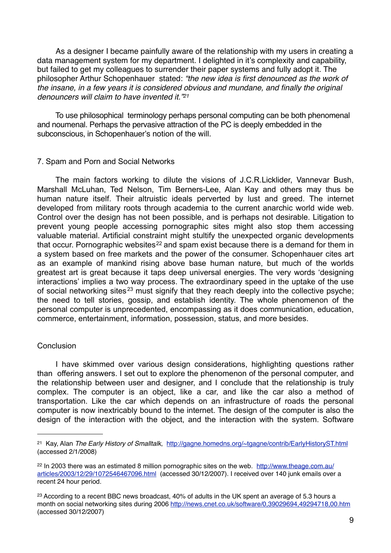As a designer I became painfully aware of the relationship with my users in creating a data management system for my department. I delighted in it's complexity and capability, but failed to get my colleagues to surrender their paper systems and fully adopt it. The philosopher Arthur Schopenhauer stated: *"the new idea is first denounced as the work of the insane, in a few years it is considered obvious and mundane, and finally the original denouncers will claim to have invented it."[21](#page-8-0)*

To use philosophical terminology perhaps personal computing can be both phenomenal and noumenal. Perhaps the pervasive attraction of the PC is deeply embedded in the subconscious, in Schopenhauer's notion of the will.

# 7. Spam and Porn and Social Networks

 The main factors working to dilute the visions of J.C.R.Licklider, Vannevar Bush, Marshall McLuhan, Ted Nelson, Tim Berners-Lee, Alan Kay and others may thus be human nature itself. Their altruistic ideals perverted by lust and greed. The internet developed from military roots through academia to the current anarchic world wide web. Control over the design has not been possible, and is perhaps not desirable. Litigation to prevent young people accessing pornographic sites might also stop them accessing valuable material. Artificial constraint might stultify the unexpected organic developments that occur. Pornographic websites<sup>22</sup> and spam exist because there is a demand for them in a system based on free markets and the power of the consumer. Schopenhauer cites art as an example of mankind rising above base human nature, but much of the worlds greatest art is great because it taps deep universal energies. The very words 'designing interactions' implies a two way process. The extraordinary speed in the uptake of the use of social networking sites [23](#page-8-2) must signify that they reach deeply into the collective psyche; the need to tell stories, gossip, and establish identity. The whole phenomenon of the personal computer is unprecedented, encompassing as it does communication, education, commerce, entertainment, information, possession, status, and more besides.

### **Conclusion**

 I have skimmed over various design considerations, highlighting questions rather than offering answers. I set out to explore the phenomenon of the personal computer, and the relationship between user and designer, and I conclude that the relationship is truly complex. The computer is an object, like a car, and like the car also a method of transportation. Like the car which depends on an infrastructure of roads the personal computer is now inextricably bound to the internet. The design of the computer is also the design of the interaction with the object, and the interaction with the system. Software

<span id="page-8-0"></span><sup>21</sup> Kay, Alan *The Early History of Smalltalk*, <http://gagne.homedns.org/~tgagne/contrib/EarlyHistoryST.html> (accessed 2/1/2008)

<span id="page-8-1"></span><sup>22</sup> In 2003 there was an estimated 8 million pornographic sites on the web. [http://www.theage.com.au/](http://www.theage.com.au/articles/2003/12/29/1072546467096.html) [articles/2003/12/29/1072546467096.html](http://www.theage.com.au/articles/2003/12/29/1072546467096.html) (accessed 30/12/2007). I received over 140 junk emails over a recent 24 hour period.

<span id="page-8-2"></span><sup>&</sup>lt;sup>23</sup> According to a recent BBC news broadcast, 40% of adults in the UK spent an average of 5.3 hours a month on social networking sites during 2006 <http://news.cnet.co.uk/software/0,39029694,49294718,00.htm> (accessed 30/12/2007)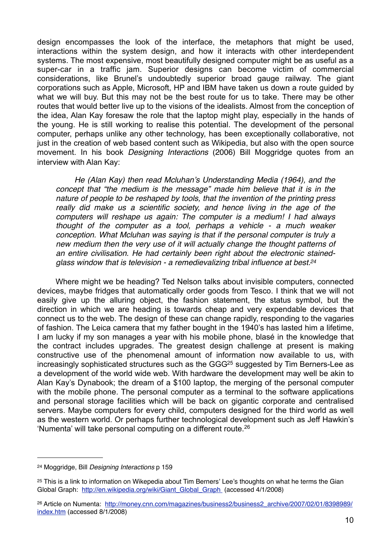design encompasses the look of the interface, the metaphors that might be used, interactions within the system design, and how it interacts with other interdependent systems. The most expensive, most beautifully designed computer might be as useful as a super-car in a traffic jam. Superior designs can become victim of commercial considerations, like Brunel's undoubtedly superior broad gauge railway. The giant corporations such as Apple, Microsoft, HP and IBM have taken us down a route guided by what we will buy. But this may not be the best route for us to take. There may be other routes that would better live up to the visions of the idealists. Almost from the conception of the idea, Alan Kay foresaw the role that the laptop might play, especially in the hands of the young. He is still working to realise this potential. The development of the personal computer, perhaps unlike any other technology, has been exceptionally collaborative, not just in the creation of web based content such as Wikipedia, but also with the open source movement. In his book *Designing Interactions* (2006) Bill Moggridge quotes from an interview with Alan Kay:

*He (Alan Kay) then read Mcluhan*'*s Understanding Media (1964), and the concept that "the medium is the message" made him believe that it is in the nature of people to be reshaped by tools, that the invention of the printing press really did make us a scientific society, and hence living in the age of the computers will reshape us again: The computer is a medium! I had always thought of the computer as a tool, perhaps a vehicle - a much weaker conception. What Mcluhan was saying is that if the personal computer is truly a new medium then the very use of it will actually change the thought patterns of an entire civilisation. He had certainly been right about the electronic stainedglass window that is television - a remedievalizing tribal influence at best[.24](#page-9-0)*

 Where might we be heading? Ted Nelson talks about invisible computers, connected devices, maybe fridges that automatically order goods from Tesco. I think that we will not easily give up the alluring object, the fashion statement, the status symbol, but the direction in which we are heading is towards cheap and very expendable devices that connect us to the web. The design of these can change rapidly, responding to the vagaries of fashion. The Leica camera that my father bought in the 1940's has lasted him a lifetime, I am lucky if my son manages a year with his mobile phone, blasé in the knowledge that the contract includes upgrades. The greatest design challenge at present is making constructive use of the phenomenal amount of information now available to us, with increasingly sophisticated structures such as the GGG<sup>25</sup> suggested by Tim Berners-Lee as a development of the world wide web. With hardware the development may well be akin to Alan Kay's Dynabook; the dream of a \$100 laptop, the merging of the personal computer with the mobile phone. The personal computer as a terminal to the software applications and personal storage facilities which will be back on gigantic corporate and centralised servers. Maybe computers for every child, computers designed for the third world as well as the western world. Or perhaps further technological development such as Jeff Hawkin's 'Numenta' will take personal computing on a different route.[26](#page-9-2)

<span id="page-9-0"></span><sup>24</sup> Moggridge, Bill *Designing Interactions* p 159

<span id="page-9-1"></span><sup>&</sup>lt;sup>25</sup> [This is a link to information on Wikepedia about Tim Berners](http://en.wikipedia.org/wiki/Giant_Global_Graph)' Lee's thoughts on what he terms the Gian [Global Graph: http://en.wikipedia.org/wiki/Giant\\_Global\\_Graph \(accessed 4/1/2008\)](http://en.wikipedia.org/wiki/Giant_Global_Graph)

<span id="page-9-2"></span><sup>26</sup> Article on Numenta: [http://money.cnn.com/magazines/business2/business2\\_archive/2007/02/01/8398989/](http://money.cnn.com/magazines/business2/business2_archive/2007/02/01/8398989/index.htm) [index.htm](http://money.cnn.com/magazines/business2/business2_archive/2007/02/01/8398989/index.htm) (accessed 8/1/2008)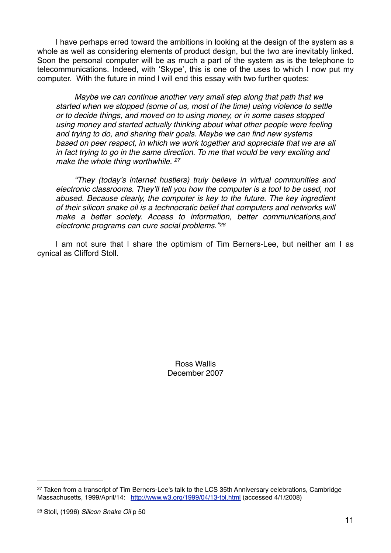I have perhaps erred toward the ambitions in looking at the design of the system as a whole as well as considering elements of product design, but the two are inevitably linked. Soon the personal computer will be as much a part of the system as is the telephone to telecommunications. Indeed, with 'Skype', this is one of the uses to which I now put my computer. With the future in mind I will end this essay with two further quotes:

*Maybe we can continue another very small step along that path that we started when we stopped (some of us, most of the time) using violence to settle or to decide things, and moved on to using money, or in some cases stopped using money and started actually thinking about what other people were feeling and trying to do, and sharing their goals. Maybe we can find new systems based on peer respect, in which we work together and appreciate that we are all in fact trying to go in the same direction. To me that would be very exciting and make the whole thing worthwhile. [27](#page-10-0)*

*"They (today*'*s internet hustlers) truly believe in virtual communities and electronic classrooms. They*'*ll tell you how the computer is a tool to be used, not abused. Because clearly, the computer is key to the future. The key ingredient of their silicon snake oil is a technocratic belief that computers and networks will make a better society. Access to information, better communications,and electronic programs can cure social problems."[28](#page-10-1)*

 I am not sure that I share the optimism of Tim Berners-Lee, but neither am I as cynical as Clifford Stoll.

> Ross Wallis December 2007

<span id="page-10-0"></span><sup>&</sup>lt;sup>27</sup> Taken from a transcript of Tim Berners-Lee's talk to the LCS 35th Anniversary celebrations, Cambridge Massachusetts, 1999/April/14: <http://www.w3.org/1999/04/13-tbl.html> (accessed 4/1/2008)

<span id="page-10-1"></span><sup>28</sup> Stoll, (1996) *Silicon Snake Oil* p 50